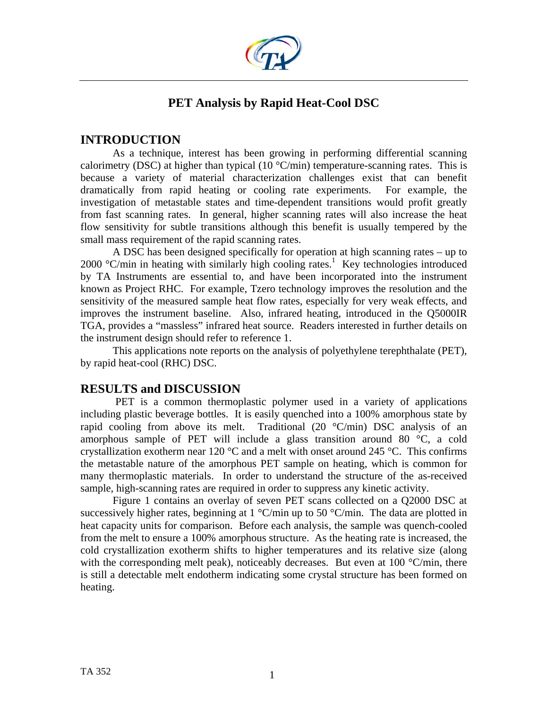

# **PET Analysis by Rapid Heat-Cool DSC**

# **INTRODUCTION**

As a technique, interest has been growing in performing differential scanning calorimetry (DSC) at higher than typical (10  $\degree$ C/min) temperature-scanning rates. This is because a variety of material characterization challenges exist that can benefit dramatically from rapid heating or cooling rate experiments. For example, the investigation of metastable states and time-dependent transitions would profit greatly from fast scanning rates. In general, higher scanning rates will also increase the heat flow sensitivity for subtle transitions although this benefit is usually tempered by the small mass requirement of the rapid scanning rates.

 A DSC has been designed specifically for operation at high scanning rates – up to  $2000$  °C/min in heating with similarly high cooling rates.<sup>1</sup> Key technologies introduced by TA Instruments are essential to, and have been incorporated into the instrument known as Project RHC. For example, Tzero technology improves the resolution and the sensitivity of the measured sample heat flow rates, especially for very weak effects, and improves the instrument baseline. Also, infrared heating, introduced in the Q5000IR TGA, provides a "massless" infrared heat source. Readers interested in further details on the instrument design should refer to reference 1.

This applications note reports on the analysis of polyethylene terephthalate (PET), by rapid heat-cool (RHC) DSC.

## **RESULTS and DISCUSSION**

 PET is a common thermoplastic polymer used in a variety of applications including plastic beverage bottles. It is easily quenched into a 100% amorphous state by rapid cooling from above its melt. Traditional  $(20 °C/min)$  DSC analysis of an amorphous sample of PET will include a glass transition around 80 °C, a cold crystallization exotherm near 120  $^{\circ}$ C and a melt with onset around 245  $^{\circ}$ C. This confirms the metastable nature of the amorphous PET sample on heating, which is common for many thermoplastic materials. In order to understand the structure of the as-received sample, high-scanning rates are required in order to suppress any kinetic activity.

 Figure 1 contains an overlay of seven PET scans collected on a Q2000 DSC at successively higher rates, beginning at  $1 \degree C/\text{min}$  up to 50  $\degree C/\text{min}$ . The data are plotted in heat capacity units for comparison. Before each analysis, the sample was quench-cooled from the melt to ensure a 100% amorphous structure. As the heating rate is increased, the cold crystallization exotherm shifts to higher temperatures and its relative size (along with the corresponding melt peak), noticeably decreases. But even at 100 °C/min, there is still a detectable melt endotherm indicating some crystal structure has been formed on heating.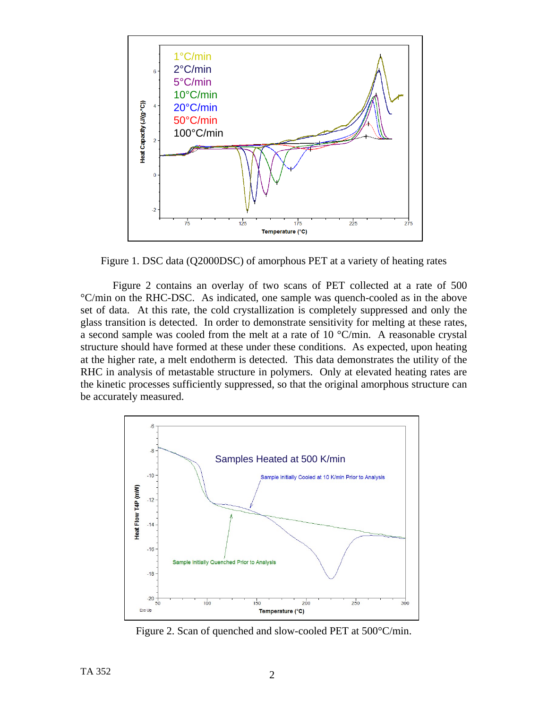

Figure 1. DSC data (Q2000DSC) of amorphous PET at a variety of heating rates

 Figure 2 contains an overlay of two scans of PET collected at a rate of 500 °C/min on the RHC-DSC. As indicated, one sample was quench-cooled as in the above set of data. At this rate, the cold crystallization is completely suppressed and only the glass transition is detected. In order to demonstrate sensitivity for melting at these rates, a second sample was cooled from the melt at a rate of 10 °C/min. A reasonable crystal structure should have formed at these under these conditions. As expected, upon heating at the higher rate, a melt endotherm is detected. This data demonstrates the utility of the RHC in analysis of metastable structure in polymers. Only at elevated heating rates are the kinetic processes sufficiently suppressed, so that the original amorphous structure can be accurately measured.



Figure 2. Scan of quenched and slow-cooled PET at 500°C/min.